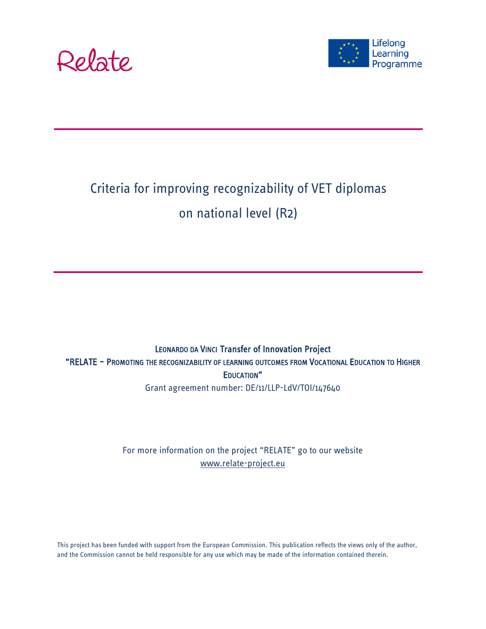



### Criteria for improving recognizability of VET diplomas on national level (R2)

#### LEONARDO DA VINCI Transfer of Innovation Project "RELATE – PROMOTING THE RECOGNIZABILITY OF LEARNING OUTCOMES FROM VOCATIONAL EDUCATION TO HIGHER EDUCATION" Grant agreement number: DE/11/LLP-LdV/TOI/147640

#### For more information on the project "RELATE" go to our website [www.relate-project.eu](http://www.relate-project.eu/)

This project has been funded with support from the European Commission. This publication reflects the views only of the author, and the Commission cannot be held responsible for any use which may be made of the information contained therein.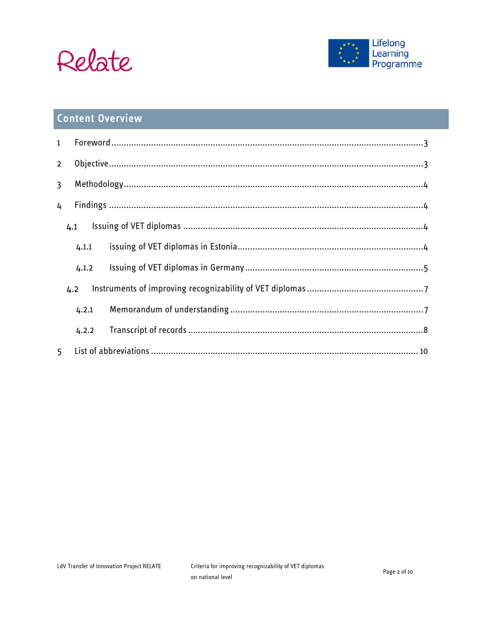



### **Content Overview**

| $\mathbf{1}$   |       |  |  |
|----------------|-------|--|--|
| $\overline{2}$ |       |  |  |
| $\overline{3}$ |       |  |  |
| 4              |       |  |  |
|                | 4.1   |  |  |
|                | 4.1.1 |  |  |
|                | 4.1.2 |  |  |
|                | 4.2   |  |  |
|                | 4.2.1 |  |  |
|                | 4.2.2 |  |  |
| 5              |       |  |  |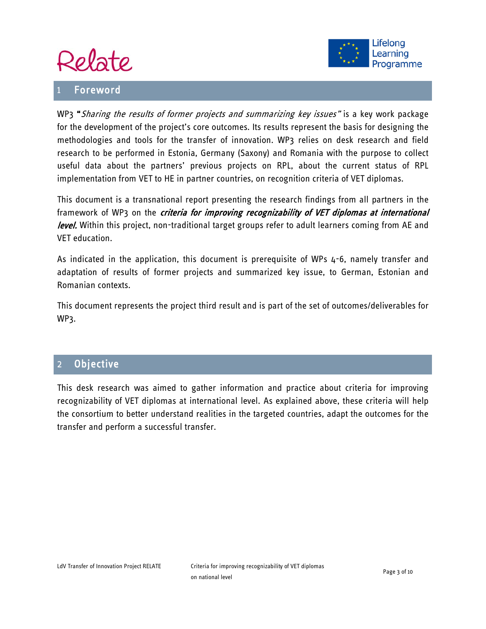

#### <span id="page-2-0"></span>**Foreword**



WP3 "Sharing the results of former projects and summarizing key issues" is a key work package for the development of the project's core outcomes. Its results represent the basis for designing the methodologies and tools for the transfer of innovation. WP3 relies on desk research and field research to be performed in Estonia, Germany (Saxony) and Romania with the purpose to collect useful data about the partners' previous projects on RPL, about the current status of RPL implementation from VET to HE in partner countries, on recognition criteria of VET diplomas.

This document is a transnational report presenting the research findings from all partners in the framework of WP3 on the *criteria for improving recognizability of VET diplomas at international* level. Within this project, non-traditional target groups refer to adult learners coming from AE and VET education.

As indicated in the application, this document is prerequisite of WPs 4-6, namely transfer and adaptation of results of former projects and summarized key issue, to German, Estonian and Romanian contexts.

This document represents the project third result and is part of the set of outcomes/deliverables for WP3.

#### <span id="page-2-1"></span>2 Objective

This desk research was aimed to gather information and practice about criteria for improving recognizability of VET diplomas at international level. As explained above, these criteria will help the consortium to better understand realities in the targeted countries, adapt the outcomes for the transfer and perform a successful transfer.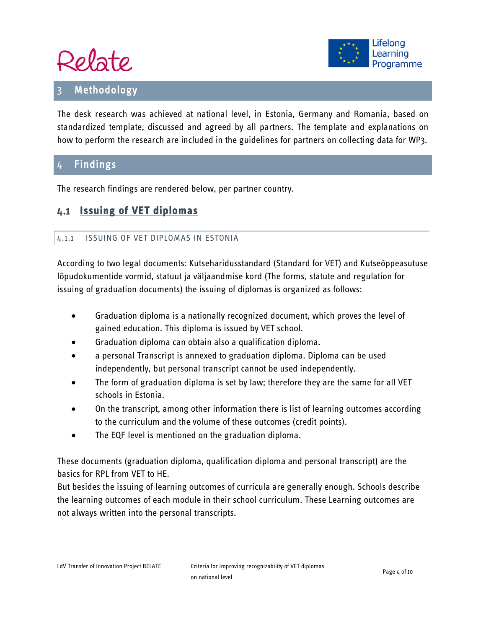



#### <span id="page-3-0"></span>**Methodology**

The desk research was achieved at national level, in Estonia, Germany and Romania, based on standardized template, discussed and agreed by all partners. The template and explanations on how to perform the research are included in the guidelines for partners on collecting data for WP3.

#### <span id="page-3-1"></span>4 Findings

The research findings are rendered below, per partner country.

#### <span id="page-3-3"></span><span id="page-3-2"></span>**Issuing of VET diplomas**

#### 4.1.1 ISSUING OF VET DIPLOMAS IN ESTONIA

According to two legal documents: Kutseharidusstandard (Standard for VET) and Kutseõppeasutuse lõpudokumentide vormid, statuut ja väljaandmise kord (The forms, statute and regulation for issuing of graduation documents) the issuing of diplomas is organized as follows:

- Graduation diploma is a nationally recognized document, which proves the level of gained education. This diploma is issued by VET school.
- Graduation diploma can obtain also a qualification diploma.
- a personal Transcript is annexed to graduation diploma. Diploma can be used independently, but personal transcript cannot be used independently.
- The form of graduation diploma is set by law; therefore they are the same for all VET schools in Estonia.
- On the transcript, among other information there is list of learning outcomes according to the curriculum and the volume of these outcomes (credit points).
- The EQF level is mentioned on the graduation diploma.

These documents (graduation diploma, qualification diploma and personal transcript) are the basics for RPL from VET to HE.

But besides the issuing of learning outcomes of curricula are generally enough. Schools describe the learning outcomes of each module in their school curriculum. These Learning outcomes are not always written into the personal transcripts.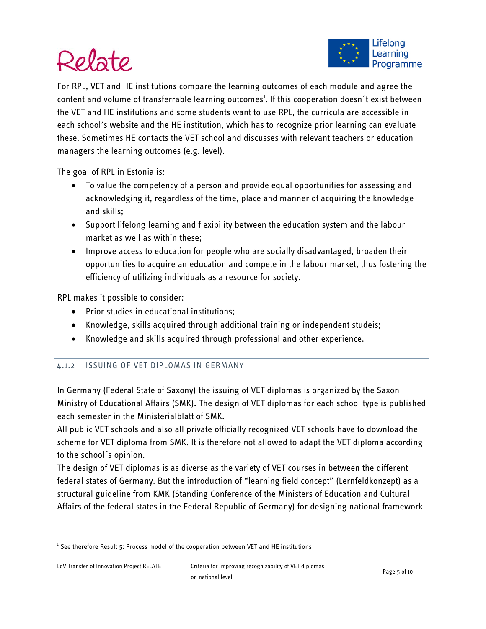

For RPL, VET and HE institutions compare the learning outcomes of each module and agree the content and volume of transferrable learning outcomes<sup>[1](#page-4-1)</sup>. If this cooperation doesn<sup>2</sup>t exist between the VET and HE institutions and some students want to use RPL, the curricula are accessible in each school's website and the HE institution, which has to recognize prior learning can evaluate these. Sometimes HE contacts the VET school and discusses with relevant teachers or education managers the learning outcomes (e.g. level).

The goal of RPL in Estonia is:

- To value the competency of a person and provide equal opportunities for assessing and acknowledging it, regardless of the time, place and manner of acquiring the knowledge and skills;
- Support lifelong learning and flexibility between the education system and the labour market as well as within these;
- Improve access to education for people who are socially disadvantaged, broaden their opportunities to acquire an education and compete in the labour market, thus fostering the efficiency of utilizing individuals as a resource for society.

RPL makes it possible to consider:

- Prior studies in educational institutions;
- Knowledge, skills acquired through additional training or independent studeis;
- Knowledge and skills acquired through professional and other experience.

#### <span id="page-4-0"></span>4.1.2 ISSUING OF VET DIPLOMAS IN GERMANY

In Germany (Federal State of Saxony) the issuing of VET diplomas is organized by the Saxon Ministry of Educational Affairs (SMK). The design of VET diplomas for each school type is published each semester in the Ministerialblatt of SMK.

All public VET schools and also all private officially recognized VET schools have to download the scheme for VET diploma from SMK. It is therefore not allowed to adapt the VET diploma according to the school´s opinion.

The design of VET diplomas is as diverse as the variety of VET courses in between the different federal states of Germany. But the introduction of "learning field concept" (Lernfeldkonzept) as a structural guideline from KMK (Standing Conference of the Ministers of Education and Cultural Affairs of the federal states in the Federal Republic of Germany) for designing national framework

 $\overline{\phantom{a}}$ 

<span id="page-4-1"></span><sup>&</sup>lt;sup>1</sup> See therefore Result 5: Process model of the cooperation between VET and HE institutions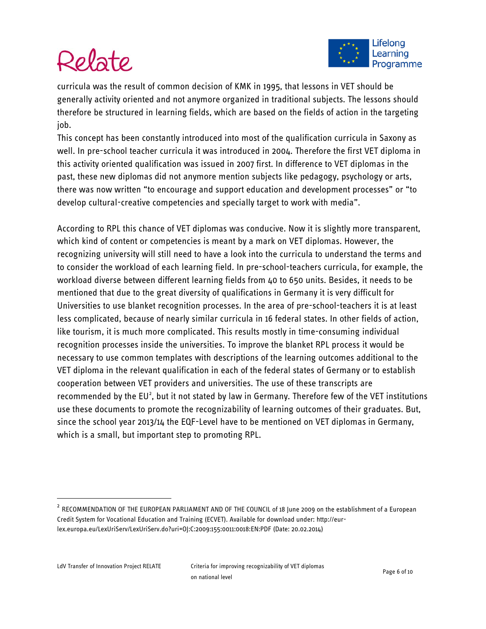

curricula was the result of common decision of KMK in 1995, that lessons in VET should be generally activity oriented and not anymore organized in traditional subjects. The lessons should therefore be structured in learning fields, which are based on the fields of action in the targeting job.

This concept has been constantly introduced into most of the qualification curricula in Saxony as well. In pre-school teacher curricula it was introduced in 2004. Therefore the first VET diploma in this activity oriented qualification was issued in 2007 first. In difference to VET diplomas in the past, these new diplomas did not anymore mention subjects like pedagogy, psychology or arts, there was now written "to encourage and support education and development processes" or "to develop cultural-creative competencies and specially target to work with media".

According to RPL this chance of VET diplomas was conducive. Now it is slightly more transparent, which kind of content or competencies is meant by a mark on VET diplomas. However, the recognizing university will still need to have a look into the curricula to understand the terms and to consider the workload of each learning field. In pre-school-teachers curricula, for example, the workload diverse between different learning fields from 40 to 650 units. Besides, it needs to be mentioned that due to the great diversity of qualifications in Germany it is very difficult for Universities to use blanket recognition processes. In the area of pre-school-teachers it is at least less complicated, because of nearly similar curricula in 16 federal states. In other fields of action, like tourism, it is much more complicated. This results mostly in time-consuming individual recognition processes inside the universities. To improve the blanket RPL process it would be necessary to use common templates with descriptions of the learning outcomes additional to the VET diploma in the relevant qualification in each of the federal states of Germany or to establish cooperation between VET providers and universities. The use of these transcripts are recommended by the EU<sup>[2](#page-5-0)</sup>, but it not stated by law in Germany. Therefore few of the VET institutions use these documents to promote the recognizability of learning outcomes of their graduates. But, since the school year 2013/14 the EQF-Level have to be mentioned on VET diplomas in Germany, which is a small, but important step to promoting RPL.

<span id="page-5-0"></span> $2$  RECOMMENDATION OF THE EUROPEAN PARLIAMENT AND OF THE COUNCIL of 18 June 2009 on the establishment of a European Credit System for Vocational Education and Training (ECVET). Available for download under: [http://eur](http://eur-lex.europa.eu/LexUriServ/LexUriServ.do?uri=OJ:C:2009:155:0011:0018:EN:PDF)[lex.europa.eu/LexUriServ/LexUriServ.do?uri=OJ:C:2009:155:0011:0018:EN:PDF](http://eur-lex.europa.eu/LexUriServ/LexUriServ.do?uri=OJ:C:2009:155:0011:0018:EN:PDF) (Date: 20.02.2014)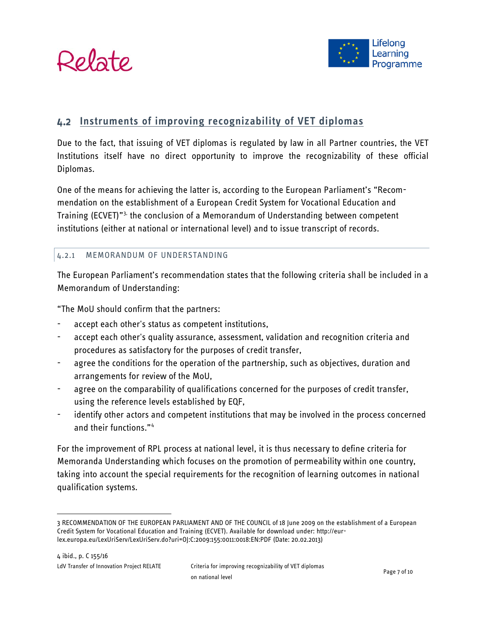



#### <span id="page-6-0"></span>**Instruments of improving recognizability of VET diplomas**

Due to the fact, that issuing of VET diplomas is regulated by law in all Partner countries, the VET Institutions itself have no direct opportunity to improve the recognizability of these official Diplomas.

One of the means for achieving the latter is, according to the European Parliament's "Recommendation on the establishment of a European Credit System for Vocational Education and Training (ECVET)"<sup>[3,](#page-6-2)</sup> the conclusion of a Memorandum of Understanding between competent institutions (either at national or international level) and to issue transcript of records.

#### <span id="page-6-1"></span>4.2.1 MEMORANDUM OF UNDERSTANDING

The European Parliament's recommendation states that the following criteria shall be included in a Memorandum of Understanding:

"The MoU should confirm that the partners:

- accept each other's status as competent institutions,
- accept each other's quality assurance, assessment, validation and recognition criteria and procedures as satisfactory for the purposes of credit transfer,
- agree the conditions for the operation of the partnership, such as objectives, duration and arrangements for review of the MoU,
- agree on the comparability of qualifications concerned for the purposes of credit transfer, using the reference levels established by EQF,
- identify other actors and competent institutions that may be involved in the process concerned and their functions."[4](#page-6-3)

For the improvement of RPL process at national level, it is thus necessary to define criteria for Memoranda Understanding which focuses on the promotion of permeability within one country, taking into account the special requirements for the recognition of learning outcomes in national qualification systems.

<span id="page-6-3"></span><span id="page-6-2"></span> <sup>3</sup> RECOMMENDATION OF THE EUROPEAN PARLIAMENT AND OF THE COUNCIL of 18 June 2009 on the establishment of a European Credit System for Vocational Education and Training (ECVET). Available for download under: [http://eur](http://eur-lex.europa.eu/LexUriServ/LexUriServ.do?uri=OJ:C:2009:155:0011:0018:EN:PDF)[lex.europa.eu/LexUriServ/LexUriServ.do?uri=OJ:C:2009:155:0011:0018:EN:PDF](http://eur-lex.europa.eu/LexUriServ/LexUriServ.do?uri=OJ:C:2009:155:0011:0018:EN:PDF) (Date: 20.02.2013)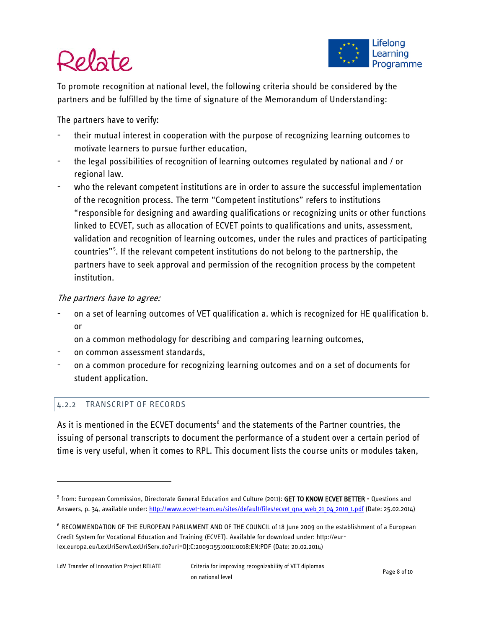

To promote recognition at national level, the following criteria should be considered by the partners and be fulfilled by the time of signature of the Memorandum of Understanding:

The partners have to verify:

- their mutual interest in cooperation with the purpose of recognizing learning outcomes to motivate learners to pursue further education,
- the legal possibilities of recognition of learning outcomes regulated by national and / or regional law.
- who the relevant competent institutions are in order to assure the successful implementation of the recognition process. The term "Competent institutions" refers to institutions "responsible for designing and awarding qualifications or recognizing units or other functions linked to ECVET, such as allocation of ECVET points to qualifications and units, assessment, validation and recognition of learning outcomes, under the rules and practices of participating countries"<sup>[5](#page-7-1)</sup>. If the relevant competent institutions do not belong to the partnership, the partners have to seek approval and permission of the recognition process by the competent institution.

#### The partners have to agree:

- on a set of learning outcomes of VET qualification a. which is recognized for HE qualification b. or
	- on a common methodology for describing and comparing learning outcomes,
- on common assessment standards,
- on a common procedure for recognizing learning outcomes and on a set of documents for student application.

#### <span id="page-7-0"></span>4.2.2 TRANSCRIPT OF RECORDS

As it is mentioned in the ECVET documents<sup>[6](#page-7-2)</sup> and the statements of the Partner countries, the issuing of personal transcripts to document the performance of a student over a certain period of time is very useful, when it comes to RPL. This document lists the course units or modules taken,

 $\overline{\phantom{a}}$ 

<span id="page-7-1"></span><sup>&</sup>lt;sup>5</sup> from: European Commission, Directorate General Education and Culture (2011): GET TO KNOW ECVET BETTER - Questions and Answers, p. 34, available under: http://www.ecvet-team.eu/sites/default/files/ecvet qna web 21 04 2010 1.pdf (Date: 25.02.2014)

<span id="page-7-2"></span><sup>6</sup> RECOMMENDATION OF THE EUROPEAN PARLIAMENT AND OF THE COUNCIL of 18 June 2009 on the establishment of a European Credit System for Vocational Education and Training (ECVET). Available for download under: [http://eur](http://eur-lex.europa.eu/LexUriServ/LexUriServ.do?uri=OJ:C:2009:155:0011:0018:EN:PDF)[lex.europa.eu/LexUriServ/LexUriServ.do?uri=OJ:C:2009:155:0011:0018:EN:PDF](http://eur-lex.europa.eu/LexUriServ/LexUriServ.do?uri=OJ:C:2009:155:0011:0018:EN:PDF) (Date: 20.02.2014)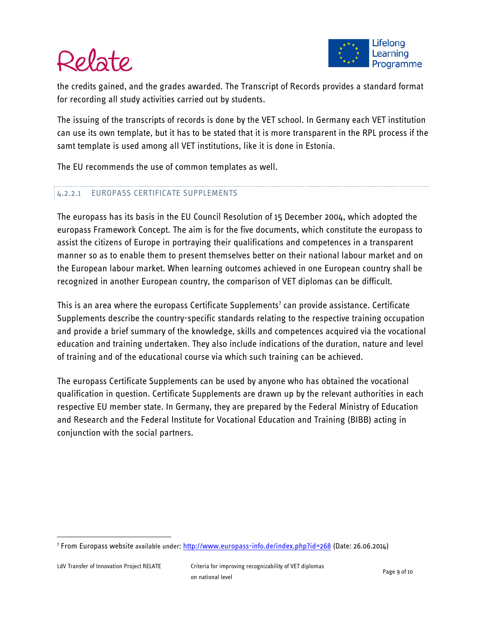the credits gained, and the grades awarded. The Transcript of Records provides a standard format for recording all study activities carried out by students.

The issuing of the transcripts of records is done by the VET school. In Germany each VET institution can use its own template, but it has to be stated that it is more transparent in the RPL process if the samt template is used among all VET institutions, like it is done in Estonia.

The EU recommends the use of common templates as well.

#### 4.2.2.1 EUROPASS CERTIFICATE SUPPLEMENTS

The europass has its basis in the EU Council Resolution of 15 December 2004, which adopted the europass Framework Concept. The aim is for the five documents, which constitute the europass to assist the citizens of Europe in portraying their qualifications and competences in a transparent manner so as to enable them to present themselves better on their national labour market and on the European labour market. When learning outcomes achieved in one European country shall be recognized in another European country, the comparison of VET diplomas can be difficult.

This is an area where the europass Certificate Supplements<sup>7</sup> can provide assistance. Certificate Supplements describe the country-specific standards relating to the respective training occupation and provide a brief summary of the knowledge, skills and competences acquired via the vocational education and training undertaken. They also include indications of the duration, nature and level of training and of the educational course via which such training can be achieved.

The europass Certificate Supplements can be used by anyone who has obtained the vocational qualification in question. Certificate Supplements are drawn up by the relevant authorities in each respective EU member state. In Germany, they are prepared by the Federal Ministry of Education and Research and the Federal Institute for Vocational Education and Training (BIBB) acting in conjunction with the social partners.

<span id="page-8-0"></span> <sup>7</sup> From Europass website available under[: http://www.europass-info.de/index.php?id=268](http://www.europass-info.de/index.php?id=268) (Date: 26.06.2014)